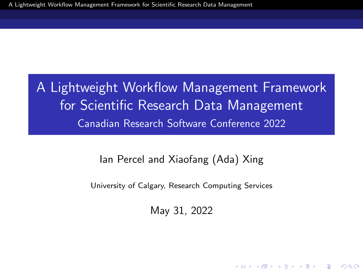<span id="page-0-0"></span>A Lightweight Workflow Management Framework for Scientific Research Data Management Canadian Research Software Conference 2022

Ian Percel and Xiaofang (Ada) Xing

University of Calgary, Research Computing Services

May 31, 2022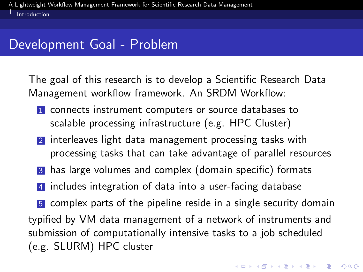<span id="page-1-0"></span>[Introduction](#page-1-0)

#### Development Goal - Problem

The goal of this research is to develop a Scientific Research Data Management workflow framework. An SRDM Workflow:

- 1 connects instrument computers or source databases to scalable processing infrastructure (e.g. HPC Cluster)
- 2 interleaves light data management processing tasks with processing tasks that can take advantage of parallel resources
- 3 has large volumes and complex (domain specific) formats
- 4 includes integration of data into a user-facing database

5 complex parts of the pipeline reside in a single security domain typified by VM data management of a network of instruments and submission of computationally intensive tasks to a job scheduled (e.g. SLURM) HPC cluster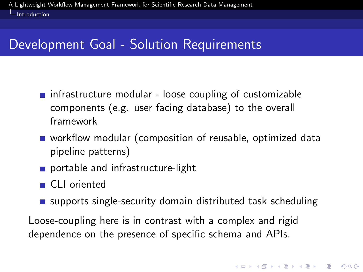[Introduction](#page-1-0)

### Development Goal - Solution Requirements

- $\blacksquare$  infrastructure modular loose coupling of customizable components (e.g. user facing database) to the overall framework
- **u** workflow modular (composition of reusable, optimized data pipeline patterns)
- portable and infrastructure-light
- CLI oriented
- **E** supports single-security domain distributed task scheduling

Loose-coupling here is in contrast with a complex and rigid dependence on the presence of specific schema and APIs.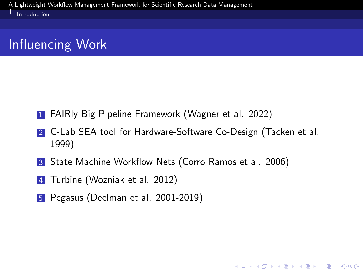**L**[Introduction](#page-1-0)

### Influencing Work

- **1** FAIRly Big Pipeline Framework (Wagner et al. 2022)
- 2 C-Lab SEA tool for Hardware-Software Co-Design (Tacken et al. 1999)

- **3** State Machine Workflow Nets (Corro Ramos et al. 2006)
- 4 Turbine (Wozniak et al. 2012)
- 5 Pegasus (Deelman et al. 2001-2019)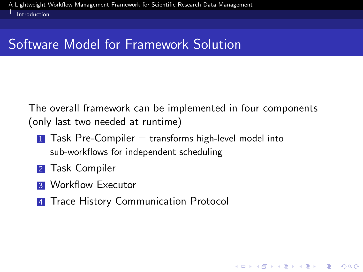[Introduction](#page-1-0)

### Software Model for Framework Solution

The overall framework can be implemented in four components (only last two needed at runtime)

- $\blacksquare$  Task Pre-Compiler  $=$  transforms high-level model into sub-workflows for independent scheduling
- **2** Task Compiler
- **3** Workflow Executor
- **4** Trace History Communication Protocol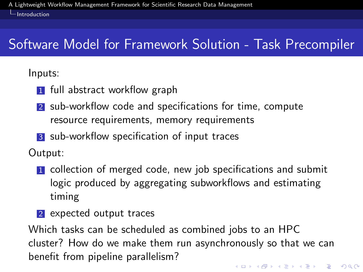[Introduction](#page-1-0)

## Software Model for Framework Solution - Task Precompiler

Inputs:

- **1** full abstract workflow graph
- 2 sub-workflow code and specifications for time, compute resource requirements, memory requirements
- 3 sub-workflow specification of input traces

Output:

- **1** collection of merged code, new job specifications and submit logic produced by aggregating subworkflows and estimating timing
- 2 expected output traces

Which tasks can be scheduled as combined jobs to an HPC cluster? How do we make them run asynchronously so that we can benefit from pipeline parallelism?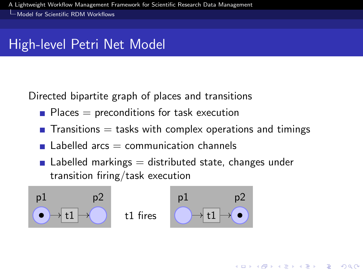### <span id="page-6-0"></span>High-level Petri Net Model

Directed bipartite graph of places and transitions

- $\blacksquare$  Places  $=$  preconditions for task execution
- **T** Transitions  $=$  tasks with complex operations and timings

- $\blacksquare$  Labelled arcs  $=$  communication channels
- $\blacksquare$  Labelled markings  $=$  distributed state, changes under transition firing/task execution

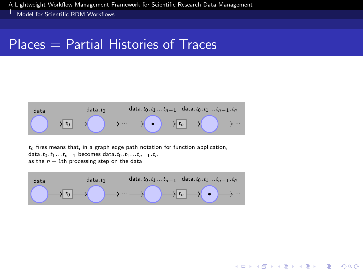#### $Places = Partial Histories$  of Traces



 $t_n$  fires means that, in a graph edge path notation for function application, data.t<sub>0</sub>.t<sub>1</sub>...t<sub>n−1</sub> becomes data.t<sub>0</sub>.t<sub>1</sub>...t<sub>n−1</sub>.t<sub>n</sub> as the  $n + 1$ th processing step on the data

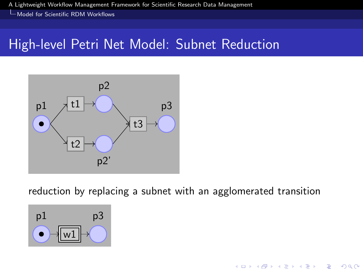[Model for Scientific RDM Workflows](#page-6-0)

#### High-level Petri Net Model: Subnet Reduction



reduction by replacing a subnet with an agglomerated transition

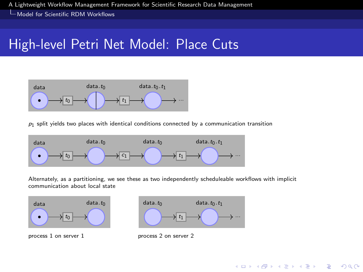### High-level Petri Net Model: Place Cuts



 $p_1$  split yields two places with identical conditions connected by a communication transition



Alternately, as a partitioning, we see these as two independently scheduleable workflows with implicit communication about local state



process 1 on server 1 process 2 on server 2

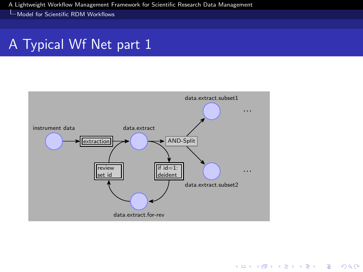#### A Typical Wf Net part 1



K ロ ▶ K 個 ▶ K 할 ▶ K 할 ▶ 이 할 → 9 Q Q →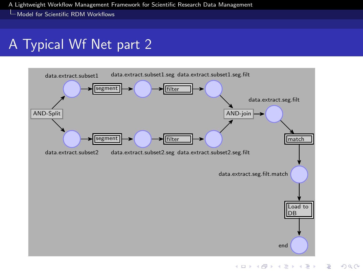### A Typical Wf Net part 2

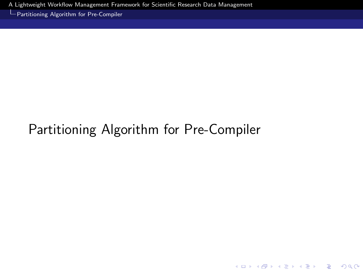<span id="page-12-0"></span>[Partitioning Algorithm for Pre-Compiler](#page-12-0)

## Partitioning Algorithm for Pre-Compiler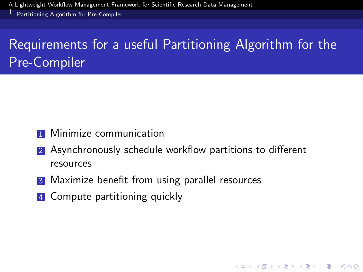[Partitioning Algorithm for Pre-Compiler](#page-12-0)

## Requirements for a useful Partitioning Algorithm for the Pre-Compiler

- **1** Minimize communication
- 2 Asynchronously schedule workflow partitions to different resources

- **3** Maximize benefit from using parallel resources
- 4 Compute partitioning quickly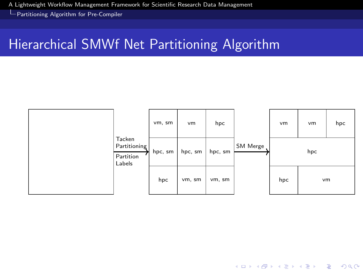[Partitioning Algorithm for Pre-Compiler](#page-12-0)

### Hierarchical SMWf Net Partitioning Algorithm



K ロ ▶ K 個 ▶ K 할 ▶ K 할 ▶ 이 할 → 9 Q Q →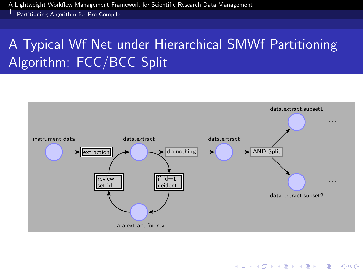[Partitioning Algorithm for Pre-Compiler](#page-12-0)

## A Typical Wf Net under Hierarchical SMWf Partitioning Algorithm: FCC/BCC Split

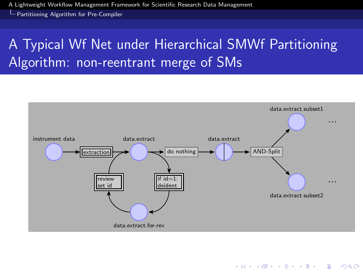[Partitioning Algorithm for Pre-Compiler](#page-12-0)

## A Typical Wf Net under Hierarchical SMWf Partitioning Algorithm: non-reentrant merge of SMs



K ロ ▶ K 個 ▶ K 할 ▶ K 할 ▶ 이 할 → 9 Q Q →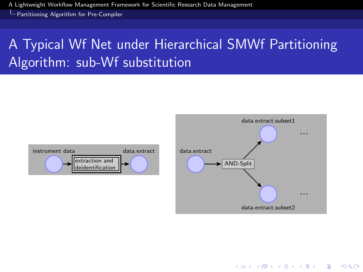[Partitioning Algorithm for Pre-Compiler](#page-12-0)

## A Typical Wf Net under Hierarchical SMWf Partitioning Algorithm: sub-Wf substitution



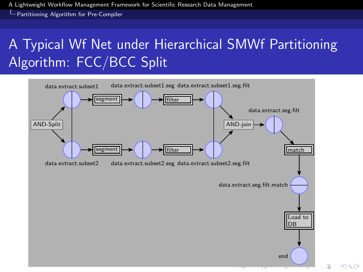[Partitioning Algorithm for Pre-Compiler](#page-12-0)

## A Typical Wf Net under Hierarchical SMWf Partitioning Algorithm: FCC/BCC Split



 $2Q$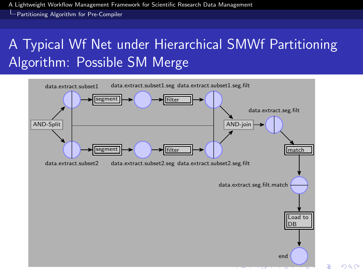[Partitioning Algorithm for Pre-Compiler](#page-12-0)

## A Typical Wf Net under Hierarchical SMWf Partitioning Algorithm: Possible SM Merge

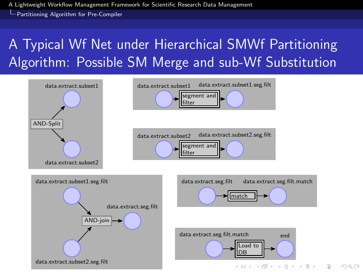[Partitioning Algorithm for Pre-Compiler](#page-12-0)

## A Typical Wf Net under Hierarchical SMWf Partitioning Algorithm: Possible SM Merge and sub-Wf Substitution

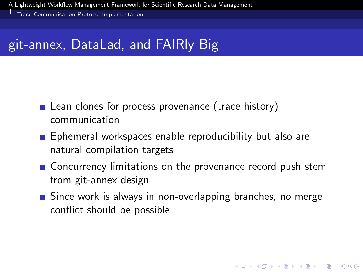<span id="page-21-0"></span>[Trace Communication Protocol Implementation](#page-21-0)

### git-annex, DataLad, and FAIRly Big

- **Lean clones for process provenance (trace history)** communication
- **E** Ephemeral workspaces enable reproducibility but also are natural compilation targets
- **Concurrency limitations on the provenance record push stem** from git-annex design
- Since work is always in non-overlapping branches, no merge conflict should be possible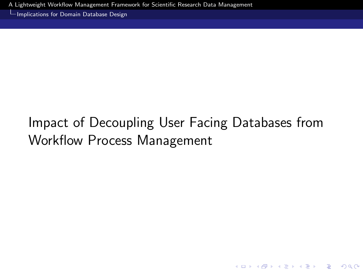<span id="page-22-0"></span>[Implications for Domain Database Design](#page-22-0)

# Impact of Decoupling User Facing Databases from Workflow Process Management

K ロ ▶ K 個 ▶ K 할 ▶ K 할 ▶ 이 할 → 9 Q Q →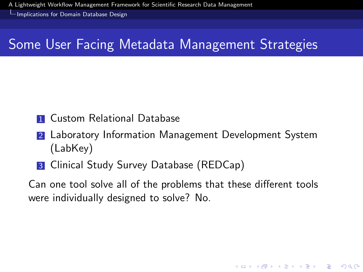[Implications for Domain Database Design](#page-22-0)

### Some User Facing Metadata Management Strategies

- **1 Custom Relational Database**
- 2 Laboratory Information Management Development System (LabKey)
- **3** Clinical Study Survey Database (REDCap)

Can one tool solve all of the problems that these different tools were individually designed to solve? No.

KELK KØLK VELKEN EL 1990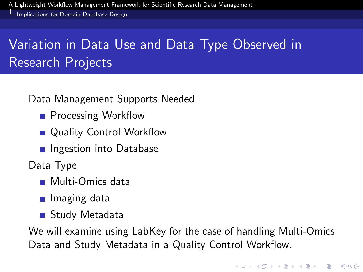[Implications for Domain Database Design](#page-22-0)

## Variation in Data Use and Data Type Observed in Research Projects

Data Management Supports Needed

- **Processing Workflow**
- **Quality Control Workflow**
- **n** Ingestion into Database

Data Type

- **Multi-Omics data**
- **I** Imaging data
- Study Metadata

We will examine using LabKey for the case of handling Multi-Omics Data and Study Metadata in a Quality Control Workflow.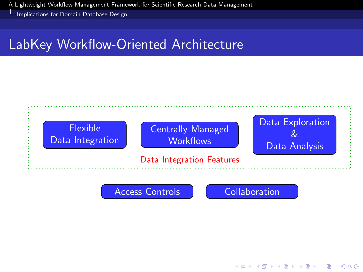[Implications for Domain Database Design](#page-22-0)

### LabKey Workflow-Oriented Architecture





 $\mathbf{E} = \mathbf{A} \oplus \mathbf{B} + \mathbf{A} \oplus \mathbf{B} + \mathbf{A} \oplus \mathbf{B} + \mathbf{A} \oplus \mathbf{A}$ 

 $2990$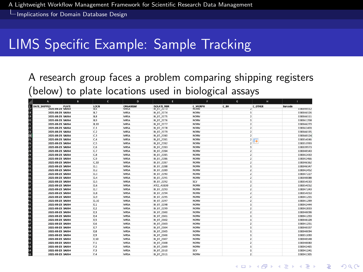[Implications for Domain Database Design](#page-22-0)

#### LIMS Specific Example: Sample Tracking

A research group faces a problem comparing shipping registers (below) to plate locations used in biological assays

| ⊿ | А                       | a.    | c.             | $\mathbf{D}$ | r.                 | ٠              | $\alpha$       | и                 | п.         |
|---|-------------------------|-------|----------------|--------------|--------------------|----------------|----------------|-------------------|------------|
|   | DATE SHIPPED            | PLATE | LOCN           | ORGANISM     | <b>ISOLATE NBR</b> | <b>C MORPH</b> | C.BH           | <b>C OTHER</b>    | Barcode    |
|   | <b>ZUZ1-UK-ZS SAUbe</b> |       | B, b           | MKSA         | <b>BI D7 2273</b>  | NON            |                |                   | 3.98340112 |
|   | 2021-08-23 SAO64        |       | 8.7            | MRSA         | 81 07 2274         | <b>NORM</b>    |                |                   | 338346126  |
|   | 2021-08-23 SA064        |       | <b>B.8</b>     | <b>MRSA</b>  | BI 07 2275         | <b>NORM</b>    |                | $\overline{z}$    | 338346111  |
|   | 2021-08-23 SA064        |       | <b>B.9</b>     | <b>MRSA</b>  | BI 07 2276         | <b>NORM</b>    | $\overline{1}$ |                   | 338341258  |
|   | 2021-08-23 SA064        |       | <b>B.10</b>    | <b>MRSA</b>  | BI 07 2277         | <b>NORM</b>    |                | $\overline{2}$    | 338346270  |
|   | 2021-08-23 SA064        |       | C.1            | MRSA         | 81 07 2278         | <b>NORM</b>    |                | $\mathbf{r}$      | 338342403  |
|   | 2021-08-23 SAO64        |       | C.2            | MRSA         | 81 07 2279         | <b>NORM</b>    |                | $\overline{z}$    | 338346135  |
|   | 2021-08-23 SA064        |       | C.3            | <b>MRSA</b>  | BI 07 2280         | <b>NORM</b>    |                | $\overline{2}$    | 338340124  |
|   | 2021-08-23 SA064        |       | C.4            | <b>MRSA</b>  | BI 07 2281         | <b>NORM</b>    |                | $\mathbf{2}$<br>в | 338354046  |
|   | 2021-08-23 SA064        |       | C.5            | MRSA         | BI 07 2282         | <b>NORM</b>    |                | $\mathcal{L}$     | 338353993  |
|   | 2021-08-23 SA064        |       | C.6            | MRSA         | 81 07 2283         | <b>NORM</b>    | 1              |                   | 338339973  |
|   | 2021-08-23 SA064        |       | C.7            | <b>MRSA</b>  | BI 07 2284         | <b>NORM</b>    |                | $\mathbf{z}$      | 338340143  |
|   | 2021-08-23 54064        |       | C.8            | <b>MRSA</b>  | BI_07_2285         | <b>NORM</b>    |                | $\overline{2}$    | 338342430  |
|   | 2021-08-23 SA064        |       | C.9            | <b>MRSA</b>  | BI 07 2286         | <b>NORM</b>    |                | $\overline{2}$    | 338342466  |
|   | 2021-08-23 SA064        |       | C, 10          | MRSA         | 81 07 2287         | <b>NORM</b>    |                | $\overline{2}$    | 338346162  |
|   | 2021-08-23 SAO64        |       | D.1            | MRSA         | 81 07 2288         | <b>NORM</b>    |                | $\mathbf{1}$      | 338346147  |
|   | 2021-08-23 SAO64        |       | D.2            | MRSA         | BI 07 2289         | <b>NORM</b>    |                | $\overline{z}$    | 338342452  |
|   | 2021-08-23 SA064        |       | D.3            | <b>MRSA</b>  | BI_07_2290         | <b>NORM</b>    |                | $\overline{z}$    | 338347227  |
|   | 2021-08-23 SA064        |       | DA             | <b>MRSA</b>  | BI 07 2291         | <b>NORM</b>    |                | $\overline{2}$    | 338340088  |
|   | 2021-08-23 SA064        |       | D.5            | MRSA         | 81 07 2292         | scv            |                | $\mathbf 1$       | 338354030  |
|   | 2021-08-23 SAO64        |       | <b>D.6</b>     | MRSA         | ATCC 43300         | <b>NORM</b>    |                | $\overline{z}$    | 338354052  |
|   | 2021-08-23 SA064        |       | <b>D.7</b>     | <b>MRSA</b>  | BI 07 2293         | <b>NORM</b>    |                | $\overline{z}$    | 118147243  |
|   | 2021-08-23 SA064        |       | D.8            | <b>MRSA</b>  | BI 07 2294         | <b>NORM</b>    |                | $\overline{2}$    | 338354050  |
|   | 2021-08-23 SA064        |       | D.9            | <b>MRSA</b>  | BI 07 2295         | <b>NORM</b>    |                | $\overline{2}$    | 338341255  |
|   | 2021-08-23 SA064        |       | D.10           | MRSA         | 81 07 2297         | <b>NORM</b>    |                | $\mathbf{r}$      | 338341299  |
|   | 2021-08-23 SAO64        |       | E.1            | MRSA         | 81 07 2298         | <b>NORM</b>    |                | $\mathbf{1}$      | 338342444  |
|   | 2021-08-23 SA064        |       | E.2            | <b>MRSA</b>  | BI 07 2299         | <b>NORM</b>    |                | $\mathbf{z}$      | 338342833  |
|   | 2021-08-23 SA064        |       | E, 3           | <b>MRSA</b>  | BI 07 2300         | <b>NORM</b>    |                | $\overline{2}$    | 338340096  |
|   | 2021-08-23 SA064        |       | E.4            | MRSA         | BI 07 2301         | <b>NORM</b>    | $\overline{1}$ |                   | 338341253  |
|   | 2021-08-23 SAO64        |       | E.S            | MRSA         | 81 07 2302         | <b>NORM</b>    | $\mathbf{1}$   |                   | 338346128  |
|   | 2021-08-23 SA064        |       | E.6            | MRSA         | BI 07 2303         | <b>NORM</b>    |                | $\mathbf{z}$      | 338341251  |
|   | 2021-08-23 SAO64        |       | E.7            | MRSA         | BI_07_2304         | <b>NORM</b>    |                | $\mathbf{1}$      | 338340157  |
|   | 2021-08-23 SA064        |       | E.8            | <b>MRSA</b>  | BI 07 2305         | <b>NORM</b>    | $\overline{1}$ |                   | 338340094  |
|   | 2021-08-23 SA064        |       | E,9            | MRSA         | 81 07 2306         | <b>NORM</b>    | $\overline{1}$ |                   | 338351690  |
|   | 2021-08-23 SA064        |       | E.10           | <b>MRSA</b>  | 81 07 2307         | <b>NORM</b>    |                | $\overline{z}$    | 338340148  |
|   | 2021-08-23 SAO64        |       | F, 1           | MRSA         | BI_07_2308         | <b>NORM</b>    |                | $\mathbf{z}$      | 338340080  |
|   | 2021-08-23 SA064        |       | F.2            | <b>MRSA</b>  | BI 07 2309         | <b>NORM</b>    |                | $\mathbf{1}$      | 338342465  |
|   | 2021-08-23 SA064        |       | F <sub>3</sub> | <b>MRSA</b>  | BI 07 2310         | SCV            | $\overline{1}$ |                   | 338341241  |
|   | 2021-08-23 SA064        |       | F.4            | MRSA         | 81 07 2311         | <b>NORM</b>    |                | $\mathbf{r}$      | 338341305  |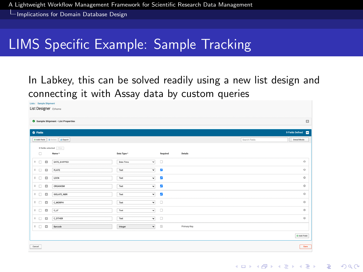[Implications for Domain Database Design](#page-22-0)

### LIMS Specific Example: Sample Tracking

#### In Labkey, this can be solved readily using a new list design and connecting it with Assay data by custom queries

| Lists / Sample Shipment                                 |                                        |                          |                         |             |               |                    |  |  |  |  |  |  |  |  |
|---------------------------------------------------------|----------------------------------------|--------------------------|-------------------------|-------------|---------------|--------------------|--|--|--|--|--|--|--|--|
| List Designer cohome                                    |                                        |                          |                         |             |               |                    |  |  |  |  |  |  |  |  |
|                                                         |                                        |                          |                         |             |               |                    |  |  |  |  |  |  |  |  |
|                                                         | o<br>Sample Shipment - List Properties |                          |                         |             |               |                    |  |  |  |  |  |  |  |  |
|                                                         |                                        |                          |                         |             |               |                    |  |  |  |  |  |  |  |  |
| 9 Fields Defined<br><b>O</b> Fields                     |                                        |                          |                         |             |               |                    |  |  |  |  |  |  |  |  |
|                                                         | O Add Field   B Delate   A Export      |                          |                         |             | Search Fields | Detail Mode        |  |  |  |  |  |  |  |  |
|                                                         | 0 fields selected $\Box$               |                          |                         |             |               |                    |  |  |  |  |  |  |  |  |
| $\Box$                                                  | Name*                                  | Data Type *              | Required                | Details     |               |                    |  |  |  |  |  |  |  |  |
| $\mathbb{R}$ $\Box$<br>$\Box$                           | DATE_SHIPPED                           | $\check{~}$<br>Date Time | $\Box$                  |             |               | $\circ$            |  |  |  |  |  |  |  |  |
|                                                         |                                        |                          |                         |             |               | $\circ$            |  |  |  |  |  |  |  |  |
| $B$ $\Box$<br>$\Box$                                    | PLATE                                  | $\check{}$<br>Test       | z                       |             |               |                    |  |  |  |  |  |  |  |  |
| $B$ $\Box$<br>$\Box$                                    | LOCN                                   | $\checkmark$<br>Test     | V                       |             |               | $\circ$            |  |  |  |  |  |  |  |  |
| $H$ $\Box$<br>$\Omega$                                  | <b>ORGANISM</b>                        | $\check{}$<br>Test       | $\overline{\mathbf{z}}$ |             |               | $\circ$            |  |  |  |  |  |  |  |  |
| $\blacksquare$<br>$\Omega$                              | ISOLATE_NER                            | $\check{}$<br>Test       | V                       |             |               | $\circ$            |  |  |  |  |  |  |  |  |
| $B$ $\Box$<br>$\Box$                                    | C_MORFH                                | $\check{~}$<br>Test      | $\Box$                  |             |               | $\circ$            |  |  |  |  |  |  |  |  |
| $B$ $\Box$<br>$\Box$                                    | cur                                    | $\check{~}$<br>Test      | $\Box$                  |             |               | $\circ$            |  |  |  |  |  |  |  |  |
| $\begin{array}{cc} \amalg & \Box \end{array}$<br>$\Box$ | C_OTHER                                | $\check{~}$<br>Test      | $\Box$                  |             |               | $\circ$            |  |  |  |  |  |  |  |  |
| $\mathbb{H}$ $\square$<br>$\Box$                        | Barcode                                | $\check{}$<br>Integer    | $\Box$                  | Primary Key |               |                    |  |  |  |  |  |  |  |  |
|                                                         |                                        |                          |                         |             |               |                    |  |  |  |  |  |  |  |  |
|                                                         |                                        |                          |                         |             |               | <b>O</b> Add Field |  |  |  |  |  |  |  |  |
| Cancel<br>Save                                          |                                        |                          |                         |             |               |                    |  |  |  |  |  |  |  |  |
|                                                         |                                        |                          |                         |             |               |                    |  |  |  |  |  |  |  |  |

K ロ ▶ K 個 ▶ K 할 ▶ K 할 ▶ 이 할 → 9 Q Q →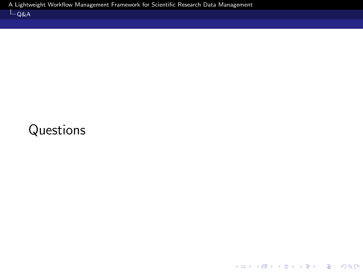KO K K Ø K K E K K E K V K K K K K K K K K

## <span id="page-28-0"></span>Questions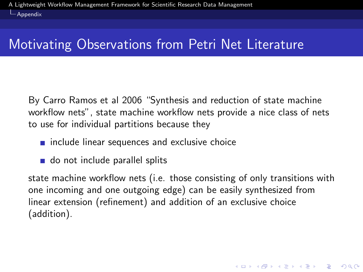<span id="page-29-0"></span> $\Box$ [Appendix](#page-29-0)

### Motivating Observations from Petri Net Literature

By Carro Ramos et al 2006 "Synthesis and reduction of state machine workflow nets", state machine workflow nets provide a nice class of nets to use for individual partitions because they

- $\blacksquare$  include linear sequences and exclusive choice
- do not include parallel splits

state machine workflow nets (i.e. those consisting of only transitions with one incoming and one outgoing edge) can be easily synthesized from linear extension (refinement) and addition of an exclusive choice (addition).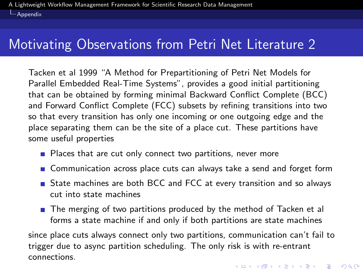[Appendix](#page-29-0)

### Motivating Observations from Petri Net Literature 2

Tacken et al 1999 "A Method for Prepartitioning of Petri Net Models for Parallel Embedded Real-Time Systems", provides a good initial partitioning that can be obtained by forming minimal Backward Conflict Complete (BCC) and Forward Conflict Complete (FCC) subsets by refining transitions into two so that every transition has only one incoming or one outgoing edge and the place separating them can be the site of a place cut. These partitions have some useful properties

- **Places that are cut only connect two partitions, never more**
- **n** Communication across place cuts can always take a send and forget form
- State machines are both BCC and FCC at every transition and so always cut into state machines
- The merging of two partitions produced by the method of Tacken et al forms a state machine if and only if both partitions are state machines

since place cuts always connect only two partitions, communication can't fail to trigger due to async partition scheduling. The only risk is with re-entrant connections.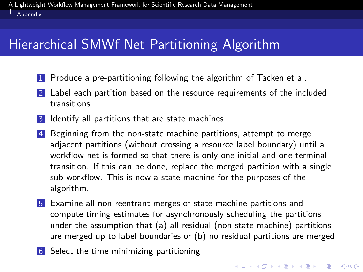<span id="page-31-0"></span>[Appendix](#page-29-0)

### Hierarchical SMWf Net Partitioning Algorithm

- 1 Produce a pre-partitioning following the algorithm of Tacken et al.
- 2 Label each partition based on the resource requirements of the included transitions
- **3** Identify all partitions that are state machines
- 4 Beginning from the non-state machine partitions, attempt to merge adjacent partitions (without crossing a resource label boundary) until a workflow net is formed so that there is only one initial and one terminal transition. If this can be done, replace the merged partition with a single sub-workflow. This is now a state machine for the purposes of the algorithm.
- 5 Examine all non-reentrant merges of state machine partitions and compute timing estimates for asynchronously scheduling the partitions under the assumption that (a) all residual (non-state machine) partitions are merged up to label boundaries or (b) no residual partitions are merged
- 6 Select the time minimizing partitioning